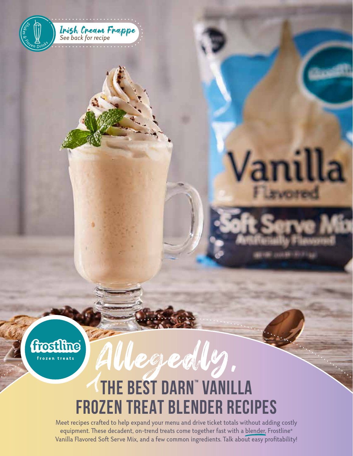



# Allegedly, **THE BEST DARN™ VANILLA FROZEN TREAT BLENDER RECIPES**

Vani

Meet recipes crafted to help expand your menu and drive ticket totals without adding costly equipment. These decadent, on-trend treats come together fast with a blender, Frostline® Vanilla Flavored Soft Serve Mix, and a few common ingredients. Talk about easy profitability!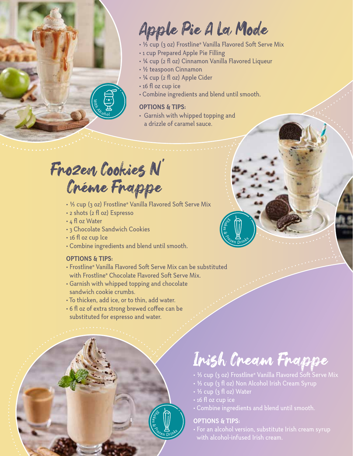

### Apple Pie A La Mode

- 1/3 cup (3 oz) Frostline® Vanilla Flavored Soft Serve Mix
- 1 cup Prepared Apple Pie Filling
- 1/4 cup (2 fl oz) Cinnamon Vanilla Flavored Liqueur
- 1/2 teaspoon Cinnamon
- 1/4 cup (2 fl oz) Apple Cider
- 16 fl oz cup ice
- Combine ingredients and blend until smooth.

#### **OPTIONS & TIPS:**

• Garnish with whipped topping and a drizzle of caramel sauce.

#### Créme Frappe Frozen Cookies N'

- 1/3 cup (3 oz) Frostline® Vanilla Flavored Soft Serve Mix
- 2 shots (2 fl oz) Espresso
- 4 fl oz Water
- 3 Chocolate Sandwich Cookies
- 16 fl oz cup Ice
- Combine ingredients and blend until smooth.

#### **OPTIONS & TIPS:**

- Frostline® Vanilla Flavored Soft Serve Mix can be substituted with Frostline® Chocolate Flavored Soft Serve Mix.
- Garnish with whipped topping and chocolate sandwich cookie crumbs.
- To thicken, add ice, or to thin, add water.
- 6 fl oz of extra strong brewed coffee can be substituted for espresso and water.



## Irish Cream Frappe

- ½ cup (3 oz) Frostline® Vanilla Flavored Soft Serve Mix
- 1/3 cup (3 fl oz) Non Alcohol Irish Cream Syrup
- $\cdot$  1/3 cup (3 fl oz) Water

*Shake*

*& <sup>F</sup><sup>r</sup>oze<sup>n</sup> <sup>D</sup>rink<sup>s</sup>*

- 
- Combine ingredients and blend until smooth.

#### **OPTIONS & TIPS:**

with alcohol-infused Irish cream.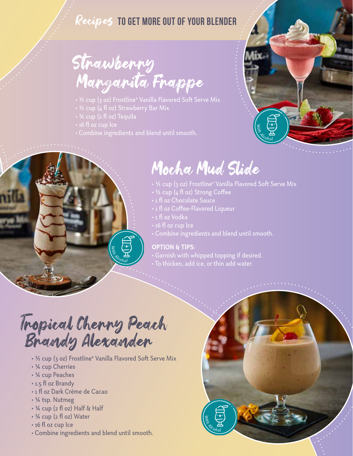#### Recipes **TO GET MORE OUT OF YOUR BLENDER**

### Strawberry Margarita Frappe

- $\cdot$  ½ cup (3 oz) Frostline® Vanilla Flavored Soft Serve Mix
- 

 $\sum_{\alpha}$   $\sum_{\alpha}$ 

- 
- 
- Combine ingredients and blend until smooth.



#### Mocha Mud Slide

- $\cdot$  ½ cup (3 oz) Frostline® Vanilla Flavored Soft Serve Mix
- 1/2 cup (4 fl oz) Strong Coffee
- 
- 1 fl oz Coffee-Flavored Liqueur
- 1 fl oz Vodka
- 
- Combine ingredients and blend until smooth.

 $\frac{1}{2}$   $\frac{1}{2}$   $\frac{1}{2}$   $\frac{1}{2}$   $\frac{1}{2}$   $\frac{1}{2}$   $\frac{1}{2}$   $\frac{1}{2}$   $\frac{1}{2}$   $\frac{1}{2}$   $\frac{1}{2}$   $\frac{1}{2}$   $\frac{1}{2}$   $\frac{1}{2}$   $\frac{1}{2}$   $\frac{1}{2}$   $\frac{1}{2}$   $\frac{1}{2}$   $\frac{1}{2}$   $\frac{1}{2}$   $\frac{1}{2}$   $\frac{1}{2}$ 

#### **OPTION & TIPS:**

- Garnish with whipped topping if desired.
- To thicken, add ice, or thin add water.

### Tropical Cherry Peach Brandy Alexander

- 1/3 cup (3 oz) Frostline® Vanilla Flavored Soft Serve Mix
- 1/4 cup Cherries
- 1/4 cup Peaches
- 1.5 fl oz Brandy
- 1 fl oz Dark Crème de Cacao
- 1/4 tsp. Nutmeg
- 1/4 cup (2 fl oz) Half & Half
- 1/4 cup (2 fl oz) Water
- 16 fl oz cup Ice
- Combine ingredients and blend until smooth.